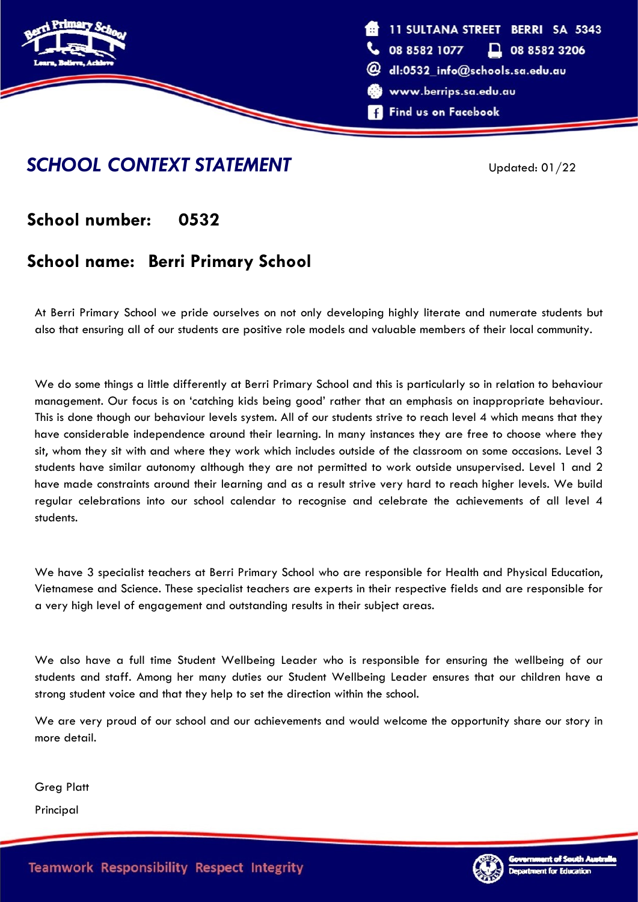

### **SCHOOL CONTEXT STATEMENT** Updated: 01/22

### **School number: 0532**

## **School name: Berri Primary School**

At Berri Primary School we pride ourselves on not only developing highly literate and numerate students but also that ensuring all of our students are positive role models and valuable members of their local community.

We do some things a little differently at Berri Primary School and this is particularly so in relation to behaviour management. Our focus is on 'catching kids being good' rather that an emphasis on inappropriate behaviour. This is done though our behaviour levels system. All of our students strive to reach level 4 which means that they have considerable independence around their learning. In many instances they are free to choose where they sit, whom they sit with and where they work which includes outside of the classroom on some occasions. Level 3 students have similar autonomy although they are not permitted to work outside unsupervised. Level 1 and 2 have made constraints around their learning and as a result strive very hard to reach higher levels. We build regular celebrations into our school calendar to recognise and celebrate the achievements of all level 4 students.

We have 3 specialist teachers at Berri Primary School who are responsible for Health and Physical Education, Vietnamese and Science. These specialist teachers are experts in their respective fields and are responsible for a very high level of engagement and outstanding results in their subject areas.

We also have a full time Student Wellbeing Leader who is responsible for ensuring the wellbeing of our students and staff. Among her many duties our Student Wellbeing Leader ensures that our children have a strong student voice and that they help to set the direction within the school.

We are very proud of our school and our achievements and would welcome the opportunity share our story in more detail.

Greg Platt

Principal

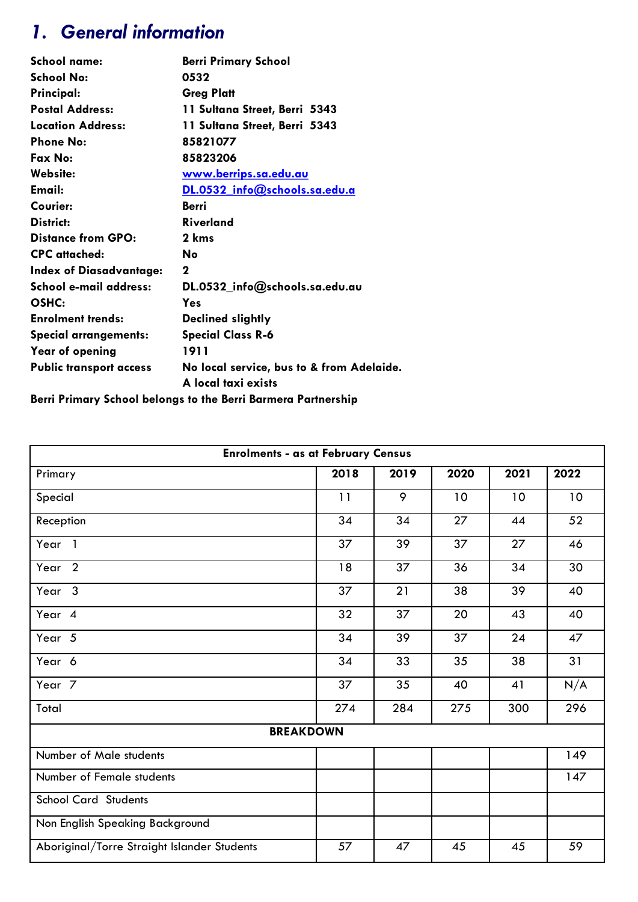# *1. General information*

| School name:                   | <b>Berri Primary School</b>                                      |
|--------------------------------|------------------------------------------------------------------|
| <b>School No:</b>              | 0532                                                             |
| Principal:                     | <b>Greg Platt</b>                                                |
| <b>Postal Address:</b>         | 11 Sultana Street, Berri 5343                                    |
| Location Address:              | 11 Sultana Street, Berri 5343                                    |
| <b>Phone No:</b>               | 85821077                                                         |
| Fax No:                        | 85823206                                                         |
| Website:                       | <u>www.berrips.sa.edu.au</u>                                     |
| Email:                         | DL.0532 info@schools.sa.edu.a                                    |
| Courier:                       | Berri                                                            |
| District:                      | <b>Riverland</b>                                                 |
| <b>Distance from GPO:</b>      | 2 kms                                                            |
| <b>CPC</b> attached:           | No                                                               |
| <b>Index of Diasadvantage:</b> | 2                                                                |
| School e-mail address:         | DL.0532_info@schools.sa.edu.au                                   |
| OSHC:                          | Yes                                                              |
| <b>Enrolment trends:</b>       | Declined slightly                                                |
| <b>Special arrangements:</b>   | <b>Special Class R-6</b>                                         |
| Year of opening                | 1911                                                             |
| <b>Public transport access</b> | No local service, bus to & from Adelaide.<br>A local taxi exists |
| $\cdots$                       |                                                                  |

**Berri Primary School belongs to the Berri Barmera Partnership**

| <b>Enrolments - as at February Census</b>   |      |      |      |      |      |  |  |
|---------------------------------------------|------|------|------|------|------|--|--|
| Primary                                     | 2018 | 2019 | 2020 | 2021 | 2022 |  |  |
| Special                                     | 11   | 9    | 10   | 10   | 10   |  |  |
| Reception                                   | 34   | 34   | 27   | 44   | 52   |  |  |
| Year <sub>1</sub>                           | 37   | 39   | 37   | 27   | 46   |  |  |
| Year <sub>2</sub>                           | 18   | 37   | 36   | 34   | 30   |  |  |
| Year <sub>3</sub>                           | 37   | 21   | 38   | 39   | 40   |  |  |
| Year 4                                      | 32   | 37   | 20   | 43   | 40   |  |  |
| Year 5                                      | 34   | 39   | 37   | 24   | 47   |  |  |
| Year 6                                      | 34   | 33   | 35   | 38   | 31   |  |  |
| Year <sub>7</sub>                           | 37   | 35   | 40   | 41   | N/A  |  |  |
| Total                                       | 274  | 284  | 275  | 300  | 296  |  |  |
| <b>BREAKDOWN</b>                            |      |      |      |      |      |  |  |
| Number of Male students                     |      |      |      |      | 149  |  |  |
| Number of Female students                   |      |      |      |      | 147  |  |  |
| <b>School Card Students</b>                 |      |      |      |      |      |  |  |
| Non English Speaking Background             |      |      |      |      |      |  |  |
| Aboriginal/Torre Straight Islander Students | 57   | 47   | 45   | 45   | 59   |  |  |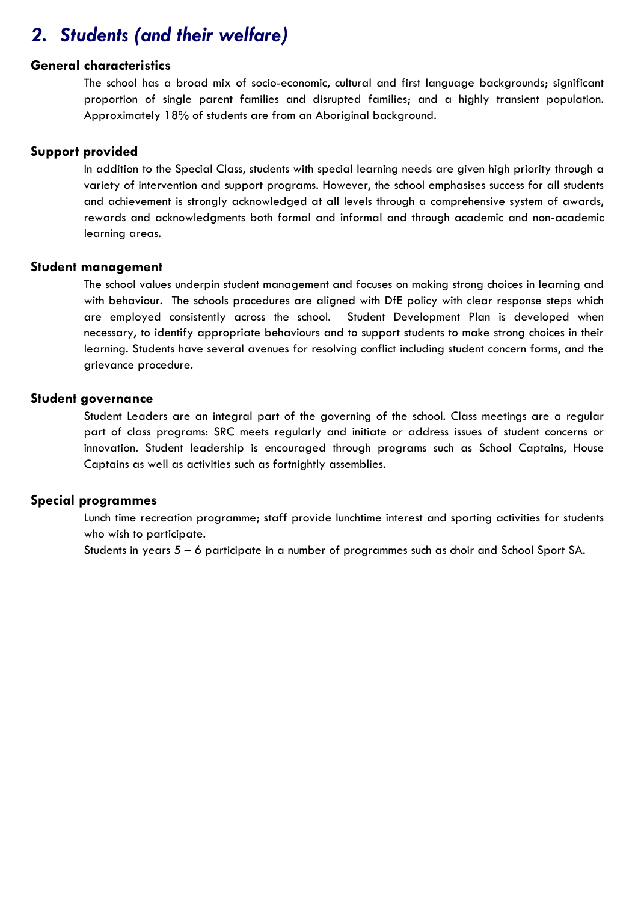## *2. Students (and their welfare)*

### **General characteristics**

The school has a broad mix of socio-economic, cultural and first language backgrounds; significant proportion of single parent families and disrupted families; and a highly transient population. Approximately 18% of students are from an Aboriginal background.

### **Support provided**

In addition to the Special Class, students with special learning needs are given high priority through a variety of intervention and support programs. However, the school emphasises success for all students and achievement is strongly acknowledged at all levels through a comprehensive system of awards, rewards and acknowledgments both formal and informal and through academic and non-academic learning areas.

### **Student management**

The school values underpin student management and focuses on making strong choices in learning and with behaviour. The schools procedures are aligned with DfE policy with clear response steps which are employed consistently across the school. Student Development Plan is developed when necessary, to identify appropriate behaviours and to support students to make strong choices in their learning. Students have several avenues for resolving conflict including student concern forms, and the grievance procedure.

### **Student governance**

Student Leaders are an integral part of the governing of the school. Class meetings are a regular part of class programs: SRC meets regularly and initiate or address issues of student concerns or innovation. Student leadership is encouraged through programs such as School Captains, House Captains as well as activities such as fortnightly assemblies.

### **Special programmes**

Lunch time recreation programme; staff provide lunchtime interest and sporting activities for students who wish to participate.

Students in years 5 – 6 participate in a number of programmes such as choir and School Sport SA.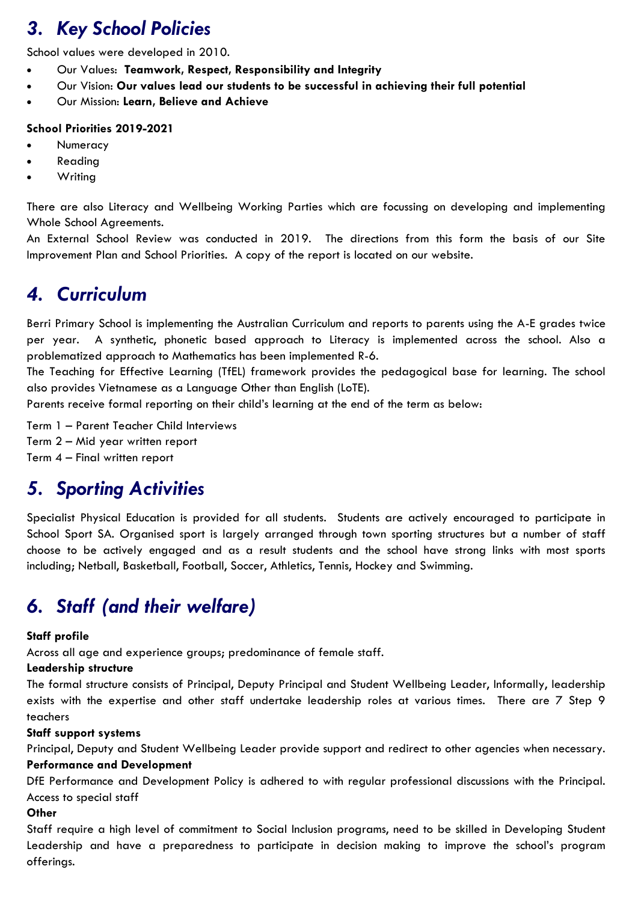# *3. Key School Policies*

School values were developed in 2010.

- Our Values: **Teamwork, Respect, Responsibility and Integrity**
- Our Vision: **Our values lead our students to be successful in achieving their full potential**
- Our Mission: **Learn, Believe and Achieve**

### **School Priorities 2019-2021**

- **Numeracy**
- Reading
- **Writing**

There are also Literacy and Wellbeing Working Parties which are focussing on developing and implementing Whole School Agreements.

An External School Review was conducted in 2019. The directions from this form the basis of our Site Improvement Plan and School Priorities. A copy of the report is located on our website.

## *4. Curriculum*

Berri Primary School is implementing the Australian Curriculum and reports to parents using the A-E grades twice per year. A synthetic, phonetic based approach to Literacy is implemented across the school. Also a problematized approach to Mathematics has been implemented R-6.

The Teaching for Effective Learning (TfEL) framework provides the pedagogical base for learning. The school also provides Vietnamese as a Language Other than English (LoTE).

Parents receive formal reporting on their child's learning at the end of the term as below:

Term 1 – Parent Teacher Child Interviews Term 2 – Mid year written report Term 4 – Final written report

## *5. Sporting Activities*

Specialist Physical Education is provided for all students. Students are actively encouraged to participate in School Sport SA. Organised sport is largely arranged through town sporting structures but a number of staff choose to be actively engaged and as a result students and the school have strong links with most sports including; Netball, Basketball, Football, Soccer, Athletics, Tennis, Hockey and Swimming.

# *6. Staff (and their welfare)*

### **Staff profile**

Across all age and experience groups; predominance of female staff.

### **Leadership structure**

The formal structure consists of Principal, Deputy Principal and Student Wellbeing Leader, Informally, leadership exists with the expertise and other staff undertake leadership roles at various times. There are 7 Step 9 teachers

### **Staff support systems**

Principal, Deputy and Student Wellbeing Leader provide support and redirect to other agencies when necessary. **Performance and Development**

DfE Performance and Development Policy is adhered to with regular professional discussions with the Principal. Access to special staff

### **Other**

Staff require a high level of commitment to Social Inclusion programs, need to be skilled in Developing Student Leadership and have a preparedness to participate in decision making to improve the school's program offerings.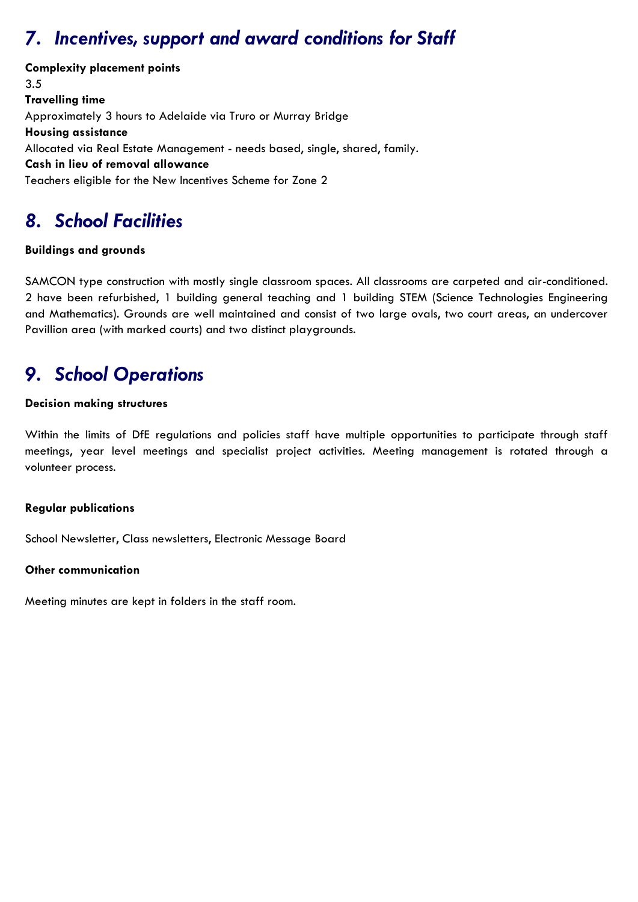# *7. Incentives, support and award conditions for Staff*

**Complexity placement points** 3.5 **Travelling time** Approximately 3 hours to Adelaide via Truro or Murray Bridge **Housing assistance** Allocated via Real Estate Management - needs based, single, shared, family. **Cash in lieu of removal allowance** Teachers eligible for the New Incentives Scheme for Zone 2

# *8. School Facilities*

### **Buildings and grounds**

SAMCON type construction with mostly single classroom spaces. All classrooms are carpeted and air-conditioned. 2 have been refurbished, 1 building general teaching and 1 building STEM (Science Technologies Engineering and Mathematics). Grounds are well maintained and consist of two large ovals, two court areas, an undercover Pavillion area (with marked courts) and two distinct playgrounds.

# *9. School Operations*

### **Decision making structures**

Within the limits of DfE regulations and policies staff have multiple opportunities to participate through staff meetings, year level meetings and specialist project activities. Meeting management is rotated through a volunteer process.

### **Regular publications**

School Newsletter, Class newsletters, Electronic Message Board

### **Other communication**

Meeting minutes are kept in folders in the staff room.